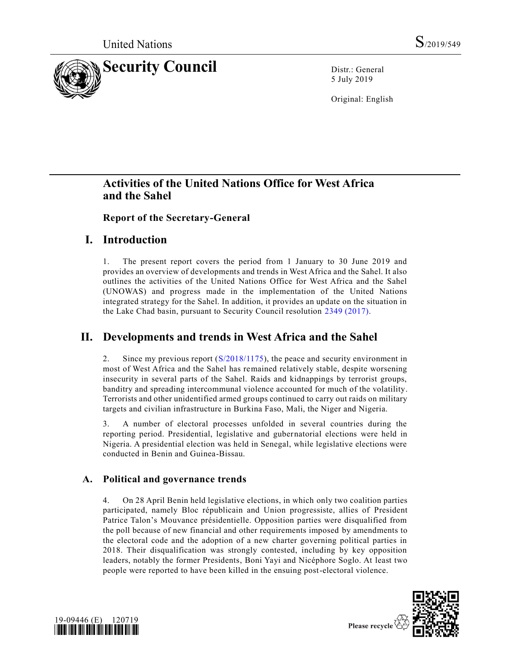

5 July 2019

Original: English

# **Activities of the United Nations Office for West Africa and the Sahel**

**Report of the Secretary-General**

# **I. Introduction**

1. The present report covers the period from 1 January to 30 June 2019 and provides an overview of developments and trends in West Africa and the Sahel. It also outlines the activities of the United Nations Office for West Africa and the Sahel (UNOWAS) and progress made in the implementation of the United Nations integrated strategy for the Sahel. In addition, it provides an update on the situation in the Lake Chad basin, pursuant to Security Council resolution [2349 \(2017\).](https://undocs.org/en/S/RES/2349%20(2017))

# **II. Developments and trends in West Africa and the Sahel**

2. Since my previous report [\(S/2018/1175\)](https://undocs.org/en/S/2018/1175), the peace and security environment in most of West Africa and the Sahel has remained relatively stable, despite worsening insecurity in several parts of the Sahel. Raids and kidnappings by terrorist groups, banditry and spreading intercommunal violence accounted for much of the volatility. Terrorists and other unidentified armed groups continued to carry out raids on military targets and civilian infrastructure in Burkina Faso, Mali, the Niger and Nigeria.

3. A number of electoral processes unfolded in several countries during the reporting period. Presidential, legislative and gubernatorial elections were held in Nigeria. A presidential election was held in Senegal, while legislative elections were conducted in Benin and Guinea-Bissau.

## **A. Political and governance trends**

4. On 28 April Benin held legislative elections, in which only two coalition parties participated, namely Bloc républicain and Union progressiste, allies of President Patrice Talon's Mouvance présidentielle. Opposition parties were disqualified from the poll because of new financial and other requirements imposed by amendments to the electoral code and the adoption of a new charter governing political parties in 2018. Their disqualification was strongly contested, including by key opposition leaders, notably the former Presidents, Boni Yayi and Nicéphore Soglo. At least two people were reported to have been killed in the ensuing post-electoral violence.



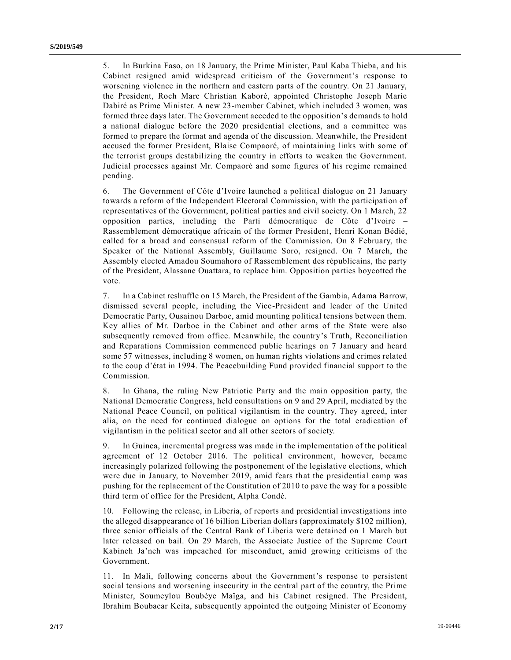5. In Burkina Faso, on 18 January, the Prime Minister, Paul Kaba Thieba, and his Cabinet resigned amid widespread criticism of the Government's response to worsening violence in the northern and eastern parts of the country. On 21 January, the President, Roch Marc Christian Kaboré, appointed Christophe Joseph Marie Dabiré as Prime Minister. A new 23-member Cabinet, which included 3 women, was formed three days later. The Government acceded to the opposition's demands to hold a national dialogue before the 2020 presidential elections, and a committee was formed to prepare the format and agenda of the discussion. Meanwhile, the President accused the former President, Blaise Compaoré, of maintaining links with some of the terrorist groups destabilizing the country in efforts to weaken the Government. Judicial processes against Mr. Compaoré and some figures of his regime remained pending.

6. The Government of Côte d'Ivoire launched a political dialogue on 21 January towards a reform of the Independent Electoral Commission, with the participation of representatives of the Government, political parties and civil society. On 1 March, 22 opposition parties, including the Parti démocratique de Côte d'Ivoire – Rassemblement démocratique africain of the former President, Henri Konan Bédié, called for a broad and consensual reform of the Commission. On 8 February, the Speaker of the National Assembly, Guillaume Soro, resigned. On 7 March, the Assembly elected Amadou Soumahoro of Rassemblement des républicains, the party of the President, Alassane Ouattara, to replace him. Opposition parties boycotted the vote.

7. In a Cabinet reshuffle on 15 March, the President of the Gambia, Adama Barrow, dismissed several people, including the Vice-President and leader of the United Democratic Party, Ousainou Darboe, amid mounting political tensions between them. Key allies of Mr. Darboe in the Cabinet and other arms of the State were also subsequently removed from office. Meanwhile, the country's Truth, Reconciliation and Reparations Commission commenced public hearings on 7 January and heard some 57 witnesses, including 8 women, on human rights violations and crimes related to the coup d'état in 1994. The Peacebuilding Fund provided financial support to the Commission.

8. In Ghana, the ruling New Patriotic Party and the main opposition party, the National Democratic Congress, held consultations on 9 and 29 April, mediated by the National Peace Council, on political vigilantism in the country. They agreed, inter alia, on the need for continued dialogue on options for the total eradication of vigilantism in the political sector and all other sectors of society.

9. In Guinea, incremental progress was made in the implementation of the political agreement of 12 October 2016. The political environment, however, became increasingly polarized following the postponement of the legislative elections, which were due in January, to November 2019, amid fears that the presidential camp was pushing for the replacement of the Constitution of 2010 to pave the way for a possible third term of office for the President, Alpha Condé.

10. Following the release, in Liberia, of reports and presidential investigations into the alleged disappearance of 16 billion Liberian dollars (approximately \$102 million), three senior officials of the Central Bank of Liberia were detained on 1 March but later released on bail. On 29 March, the Associate Justice of the Supreme Court Kabineh Ja'neh was impeached for misconduct, amid growing criticisms of the Government.

11. In Mali, following concerns about the Government's response to persistent social tensions and worsening insecurity in the central part of the country, the Prime Minister, Soumeylou Boubèye Maïga, and his Cabinet resigned. The President, Ibrahim Boubacar Keita, subsequently appointed the outgoing Minister of Economy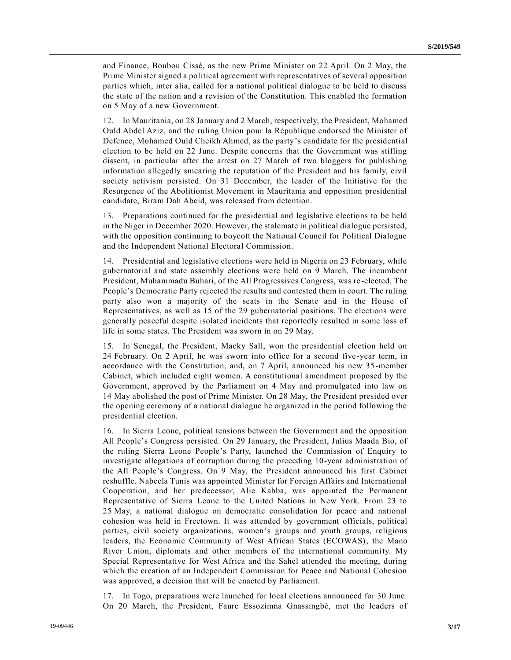and Finance, Boubou Cissé, as the new Prime Minister on 22 April. On 2 May, the Prime Minister signed a political agreement with representatives of several opposition parties which, inter alia, called for a national political dialogue to be held to discuss the state of the nation and a revision of the Constitution. This enabled the formation on 5 May of a new Government.

12. In Mauritania, on 28 January and 2 March, respectively, the President, Mohamed Ould Abdel Aziz, and the ruling Union pour la République endorsed the Minister of Defence, Mohamed Ould Cheikh Ahmed, as the party's candidate for the presidential election to be held on 22 June. Despite concerns that the Government was stifling dissent, in particular after the arrest on 27 March of two bloggers for publishing information allegedly smearing the reputation of the President and his family, civil society activism persisted. On 31 December, the leader of the Initiative for the Resurgence of the Abolitionist Movement in Mauritania and opposition presidential candidate, Biram Dah Abeid, was released from detention.

13. Preparations continued for the presidential and legislative elections to be held in the Niger in December 2020. However, the stalemate in political dialogue persisted, with the opposition continuing to boycott the National Council for Political Dialogue and the Independent National Electoral Commission.

14. Presidential and legislative elections were held in Nigeria on 23 February, while gubernatorial and state assembly elections were held on 9 March. The incumbent President, Muhammadu Buhari, of the All Progressives Congress, was re-elected. The People's Democratic Party rejected the results and contested them in court. The ruling party also won a majority of the seats in the Senate and in the House of Representatives, as well as 15 of the 29 gubernatorial positions. The elections were generally peaceful despite isolated incidents that reportedly resulted in some loss of life in some states. The President was sworn in on 29 May.

15. In Senegal, the President, Macky Sall, won the presidential election held on 24 February. On 2 April, he was sworn into office for a second five-year term, in accordance with the Constitution, and, on 7 April, announced his new 35-member Cabinet, which included eight women. A constitutional amendment proposed by the Government, approved by the Parliament on 4 May and promulgated into law on 14 May abolished the post of Prime Minister. On 28 May, the President presided over the opening ceremony of a national dialogue he organized in the period following the presidential election.

16. In Sierra Leone, political tensions between the Government and the opposition All People's Congress persisted. On 29 January, the President, Julius Maada Bio, of the ruling Sierra Leone People's Party, launched the Commission of Enquiry to investigate allegations of corruption during the preceding 10-year administration of the All People's Congress. On 9 May, the President announced his first Cabinet reshuffle. Nabeela Tunis was appointed Minister for Foreign Affairs and International Cooperation, and her predecessor, Alie Kabba, was appointed the Permanent Representative of Sierra Leone to the United Nations in New York. From 23 to 25 May, a national dialogue on democratic consolidation for peace and national cohesion was held in Freetown. It was attended by government officials, political parties, civil society organizations, women's groups and youth groups, religious leaders, the Economic Community of West African States (ECOWAS), the Mano River Union, diplomats and other members of the international community. My Special Representative for West Africa and the Sahel attended the meeting, during which the creation of an Independent Commission for Peace and National Cohesion was approved, a decision that will be enacted by Parliament.

17. In Togo, preparations were launched for local elections announced for 30 June. On 20 March, the President, Faure Essozimna Gnassingbé, met the leaders of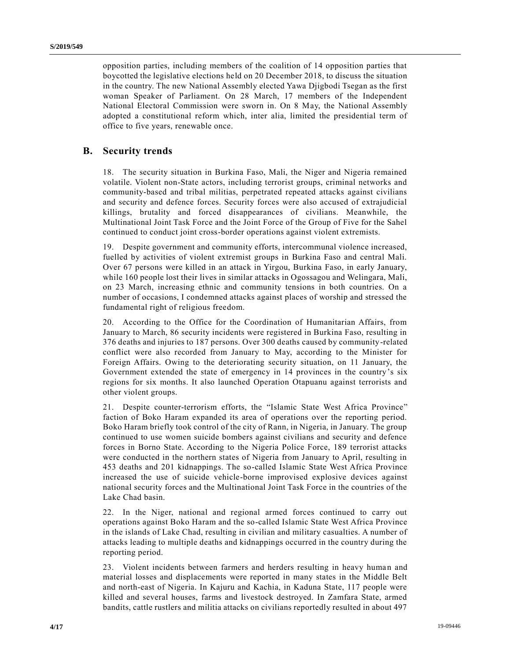opposition parties, including members of the coalition of 14 opposition parties that boycotted the legislative elections held on 20 December 2018, to discuss the situation in the country. The new National Assembly elected Yawa Djigbodi Tsegan as the first woman Speaker of Parliament. On 28 March, 17 members of the Independent National Electoral Commission were sworn in. On 8 May, the National Assembly adopted a constitutional reform which, inter alia, limited the presidential term of office to five years, renewable once.

### **B. Security trends**

18. The security situation in Burkina Faso, Mali, the Niger and Nigeria remained volatile. Violent non-State actors, including terrorist groups, criminal networks and community-based and tribal militias, perpetrated repeated attacks against civilians and security and defence forces. Security forces were also accused of extrajudicial killings, brutality and forced disappearances of civilians. Meanwhile, the Multinational Joint Task Force and the Joint Force of the Group of Five for the Sahel continued to conduct joint cross-border operations against violent extremists.

19. Despite government and community efforts, intercommunal violence increased, fuelled by activities of violent extremist groups in Burkina Faso and central Mali. Over 67 persons were killed in an attack in Yirgou, Burkina Faso, in early January, while 160 people lost their lives in similar attacks in Ogossagou and Welingara, Mali, on 23 March, increasing ethnic and community tensions in both countries. On a number of occasions, I condemned attacks against places of worship and stressed the fundamental right of religious freedom.

20. According to the Office for the Coordination of Humanitarian Affairs, from January to March, 86 security incidents were registered in Burkina Faso, resulting in 376 deaths and injuries to 187 persons. Over 300 deaths caused by community-related conflict were also recorded from January to May, according to the Minister for Foreign Affairs. Owing to the deteriorating security situation, on 11 January, the Government extended the state of emergency in 14 provinces in the country's six regions for six months. It also launched Operation Otapuanu against terrorists and other violent groups.

21. Despite counter-terrorism efforts, the "Islamic State West Africa Province" faction of Boko Haram expanded its area of operations over the reporting period. Boko Haram briefly took control of the city of Rann, in Nigeria, in January. The group continued to use women suicide bombers against civilians and security and defence forces in Borno State. According to the Nigeria Police Force, 189 terrorist attacks were conducted in the northern states of Nigeria from January to April, resulting in 453 deaths and 201 kidnappings. The so-called Islamic State West Africa Province increased the use of suicide vehicle-borne improvised explosive devices against national security forces and the Multinational Joint Task Force in the countries of the Lake Chad basin.

22. In the Niger, national and regional armed forces continued to carry out operations against Boko Haram and the so-called Islamic State West Africa Province in the islands of Lake Chad, resulting in civilian and military casualties. A number of attacks leading to multiple deaths and kidnappings occurred in the country during the reporting period.

23. Violent incidents between farmers and herders resulting in heavy human and material losses and displacements were reported in many states in the Middle Belt and north-east of Nigeria. In Kajuru and Kachia, in Kaduna State, 117 people were killed and several houses, farms and livestock destroyed. In Zamfara State, armed bandits, cattle rustlers and militia attacks on civilians reportedly resulted in about 497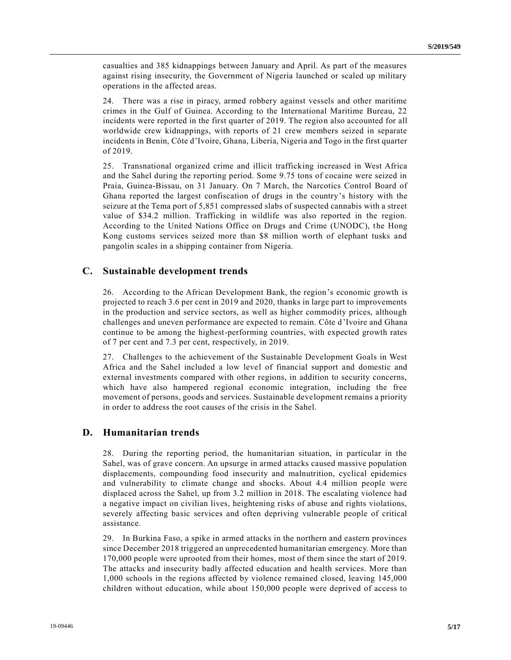casualties and 385 kidnappings between January and April. As part of the measures against rising insecurity, the Government of Nigeria launched or scaled up military operations in the affected areas.

24. There was a rise in piracy, armed robbery against vessels and other maritime crimes in the Gulf of Guinea. According to the International Maritime Bureau, 22 incidents were reported in the first quarter of 2019. The region also accounted for all worldwide crew kidnappings, with reports of 21 crew members seized in separate incidents in Benin, Côte d'Ivoire, Ghana, Liberia, Nigeria and Togo in the first quarter of 2019.

25. Transnational organized crime and illicit trafficking increased in West Africa and the Sahel during the reporting period. Some 9.75 tons of cocaine were seized in Praia, Guinea-Bissau, on 31 January. On 7 March, the Narcotics Control Board of Ghana reported the largest confiscation of drugs in the country's history with the seizure at the Tema port of 5,851 compressed slabs of suspected cannabis with a street value of \$34.2 million. Trafficking in wildlife was also reported in the region. According to the United Nations Office on Drugs and Crime (UNODC), the Hong Kong customs services seized more than \$8 million worth of elephant tusks and pangolin scales in a shipping container from Nigeria.

## **C. Sustainable development trends**

26. According to the African Development Bank, the region's economic growth is projected to reach 3.6 per cent in 2019 and 2020, thanks in large part to improvements in the production and service sectors, as well as higher commodity prices, although challenges and uneven performance are expected to remain. Côte d'Ivoire and Ghana continue to be among the highest-performing countries, with expected growth rates of 7 per cent and 7.3 per cent, respectively, in 2019.

27. Challenges to the achievement of the Sustainable Development Goals in West Africa and the Sahel included a low level of financial support and domestic and external investments compared with other regions, in addition to security concerns, which have also hampered regional economic integration, including the free movement of persons, goods and services. Sustainable development remains a priority in order to address the root causes of the crisis in the Sahel.

#### **D. Humanitarian trends**

28. During the reporting period, the humanitarian situation, in particular in the Sahel, was of grave concern. An upsurge in armed attacks caused massive population displacements, compounding food insecurity and malnutrition, cyclical epidemics and vulnerability to climate change and shocks. About 4.4 million people were displaced across the Sahel, up from 3.2 million in 2018. The escalating violence had a negative impact on civilian lives, heightening risks of abuse and rights violations, severely affecting basic services and often depriving vulnerable people of critical assistance.

29. In Burkina Faso, a spike in armed attacks in the northern and eastern provinces since December 2018 triggered an unprecedented humanitarian emergency. More than 170,000 people were uprooted from their homes, most of them since the start of 2019. The attacks and insecurity badly affected education and health services. More than 1,000 schools in the regions affected by violence remained closed, leaving 145,000 children without education, while about 150,000 people were deprived of access to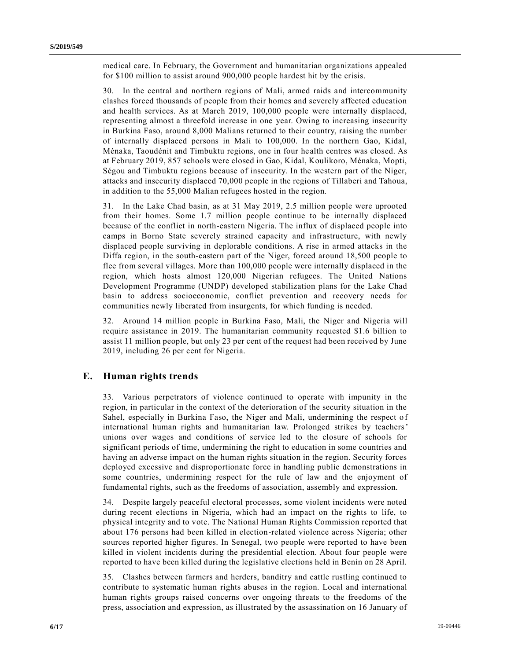medical care. In February, the Government and humanitarian organizations appealed for \$100 million to assist around 900,000 people hardest hit by the crisis.

30. In the central and northern regions of Mali, armed raids and intercommunity clashes forced thousands of people from their homes and severely affected education and health services. As at March 2019, 100,000 people were internally displaced, representing almost a threefold increase in one year. Owing to increasing insecurity in Burkina Faso, around 8,000 Malians returned to their country, raising the number of internally displaced persons in Mali to 100,000. In the northern Gao, Kidal, Ménaka, Taoudénit and Timbuktu regions, one in four health centres was closed. As at February 2019, 857 schools were closed in Gao, Kidal, Koulikoro, Ménaka, Mopti, Ségou and Timbuktu regions because of insecurity. In the western part of the Niger, attacks and insecurity displaced 70,000 people in the regions of Tillaberi and Tahoua, in addition to the 55,000 Malian refugees hosted in the region.

31. In the Lake Chad basin, as at 31 May 2019, 2.5 million people were uprooted from their homes. Some 1.7 million people continue to be internally displaced because of the conflict in north-eastern Nigeria. The influx of displaced people into camps in Borno State severely strained capacity and infrastructure, with newly displaced people surviving in deplorable conditions. A rise in armed attacks in the Diffa region, in the south-eastern part of the Niger, forced around 18,500 people to flee from several villages. More than 100,000 people were internally displaced in the region, which hosts almost 120,000 Nigerian refugees. The United Nations Development Programme (UNDP) developed stabilization plans for the Lake Chad basin to address socioeconomic, conflict prevention and recovery needs for communities newly liberated from insurgents, for which funding is needed.

32. Around 14 million people in Burkina Faso, Mali, the Niger and Nigeria will require assistance in 2019. The humanitarian community requested \$1.6 billion to assist 11 million people, but only 23 per cent of the request had been received by June 2019, including 26 per cent for Nigeria.

## **E. Human rights trends**

33. Various perpetrators of violence continued to operate with impunity in the region, in particular in the context of the deterioration of the security situation in the Sahel, especially in Burkina Faso, the Niger and Mali, undermining the respect o f international human rights and humanitarian law. Prolonged strikes by teachers' unions over wages and conditions of service led to the closure of schools for significant periods of time, undermining the right to education in some countries and having an adverse impact on the human rights situation in the region. Security forces deployed excessive and disproportionate force in handling public demonstrations in some countries, undermining respect for the rule of law and the enjoyment of fundamental rights, such as the freedoms of association, assembly and expression.

34. Despite largely peaceful electoral processes, some violent incidents were noted during recent elections in Nigeria, which had an impact on the rights to life, to physical integrity and to vote. The National Human Rights Commission reported that about 176 persons had been killed in election-related violence across Nigeria; other sources reported higher figures. In Senegal, two people were reported to have been killed in violent incidents during the presidential election. About four people were reported to have been killed during the legislative elections held in Benin on 28 April.

35. Clashes between farmers and herders, banditry and cattle rustling continued to contribute to systematic human rights abuses in the region. Local and international human rights groups raised concerns over ongoing threats to the freedoms of the press, association and expression, as illustrated by the assassination on 16 January of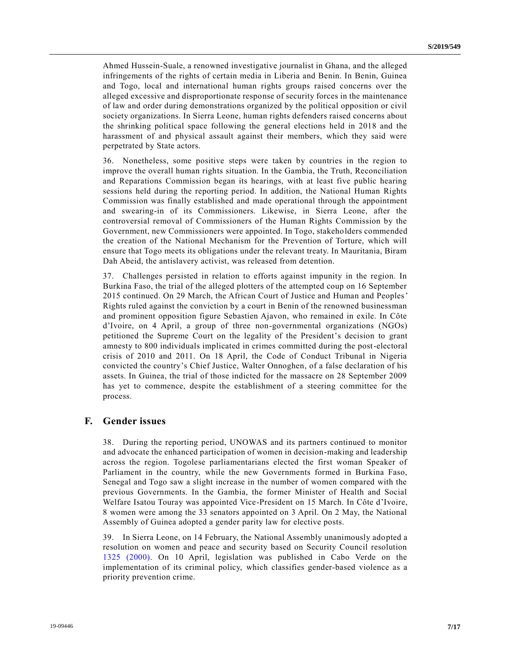Ahmed Hussein-Suale, a renowned investigative journalist in Ghana, and the alleged infringements of the rights of certain media in Liberia and Benin. In Benin, Guinea and Togo, local and international human rights groups raised concerns over the alleged excessive and disproportionate response of security forces in the maintenance of law and order during demonstrations organized by the political opposition or civil society organizations. In Sierra Leone, human rights defenders raised concerns about the shrinking political space following the general elections held in 2018 and the harassment of and physical assault against their members, which they said were perpetrated by State actors.

36. Nonetheless, some positive steps were taken by countries in the region to improve the overall human rights situation. In the Gambia, the Truth, Reconciliation and Reparations Commission began its hearings, with at least five public hearing sessions held during the reporting period. In addition, the National Human Rights Commission was finally established and made operational through the appointment and swearing-in of its Commissioners. Likewise, in Sierra Leone, after the controversial removal of Commissioners of the Human Rights Commission by the Government, new Commissioners were appointed. In Togo, stakeholders commended the creation of the National Mechanism for the Prevention of Torture, which will ensure that Togo meets its obligations under the relevant treaty. In Mauritania, Biram Dah Abeid, the antislavery activist, was released from detention.

37. Challenges persisted in relation to efforts against impunity in the region. In Burkina Faso, the trial of the alleged plotters of the attempted coup on 16 September 2015 continued. On 29 March, the African Court of Justice and Human and Peoples' Rights ruled against the conviction by a court in Benin of the renowned businessman and prominent opposition figure Sebastien Ajavon, who remained in exile. In Côte d'Ivoire, on 4 April, a group of three non-governmental organizations (NGOs) petitioned the Supreme Court on the legality of the President's decision to grant amnesty to 800 individuals implicated in crimes committed during the post-electoral crisis of 2010 and 2011. On 18 April, the Code of Conduct Tribunal in Nigeria convicted the country's Chief Justice, Walter Onnoghen, of a false declaration of his assets. In Guinea, the trial of those indicted for the massacre on 28 September 2009 has yet to commence, despite the establishment of a steering committee for the process.

#### **F. Gender issues**

38. During the reporting period, UNOWAS and its partners continued to monitor and advocate the enhanced participation of women in decision-making and leadership across the region. Togolese parliamentarians elected the first woman Speaker of Parliament in the country, while the new Governments formed in Burkina Faso, Senegal and Togo saw a slight increase in the number of women compared with the previous Governments. In the Gambia, the former Minister of Health and Social Welfare Isatou Touray was appointed Vice-President on 15 March. In Côte d'Ivoire, 8 women were among the 33 senators appointed on 3 April. On 2 May, the National Assembly of Guinea adopted a gender parity law for elective posts.

39. In Sierra Leone, on 14 February, the National Assembly unanimously adopted a resolution on women and peace and security based on Security Council resolution [1325 \(2000\).](https://undocs.org/en/S/RES/1325%20(2000)) On 10 April, legislation was published in Cabo Verde on the implementation of its criminal policy, which classifies gender-based violence as a priority prevention crime.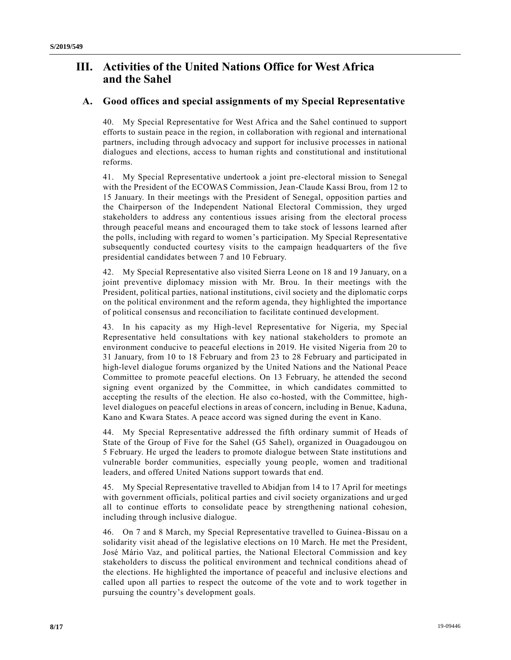# **III. Activities of the United Nations Office for West Africa and the Sahel**

## **A. Good offices and special assignments of my Special Representative**

40. My Special Representative for West Africa and the Sahel continued to support efforts to sustain peace in the region, in collaboration with regional and international partners, including through advocacy and support for inclusive processes in national dialogues and elections, access to human rights and constitutional and institutional reforms.

41. My Special Representative undertook a joint pre-electoral mission to Senegal with the President of the ECOWAS Commission, Jean-Claude Kassi Brou, from 12 to 15 January. In their meetings with the President of Senegal, opposition parties and the Chairperson of the Independent National Electoral Commission, they urged stakeholders to address any contentious issues arising from the electoral process through peaceful means and encouraged them to take stock of lessons learned after the polls, including with regard to women's participation. My Special Representative subsequently conducted courtesy visits to the campaign headquarters of the five presidential candidates between 7 and 10 February.

42. My Special Representative also visited Sierra Leone on 18 and 19 January, on a joint preventive diplomacy mission with Mr. Brou. In their meetings with the President, political parties, national institutions, civil society and the diplomatic corps on the political environment and the reform agenda, they highlighted the importance of political consensus and reconciliation to facilitate continued development.

43. In his capacity as my High-level Representative for Nigeria, my Special Representative held consultations with key national stakeholders to promote an environment conducive to peaceful elections in 2019. He visited Nigeria from 20 to 31 January, from 10 to 18 February and from 23 to 28 February and participated in high-level dialogue forums organized by the United Nations and the National Peace Committee to promote peaceful elections. On 13 February, he attended the second signing event organized by the Committee, in which candidates committed to accepting the results of the election. He also co-hosted, with the Committee, highlevel dialogues on peaceful elections in areas of concern, including in Benue, Kaduna, Kano and Kwara States. A peace accord was signed during the event in Kano.

44. My Special Representative addressed the fifth ordinary summit of Heads of State of the Group of Five for the Sahel (G5 Sahel), organized in Ouagadougou on 5 February. He urged the leaders to promote dialogue between State institutions and vulnerable border communities, especially young people, women and traditional leaders, and offered United Nations support towards that end.

45. My Special Representative travelled to Abidjan from 14 to 17 April for meetings with government officials, political parties and civil society organizations and ur ged all to continue efforts to consolidate peace by strengthening national cohesion, including through inclusive dialogue.

46. On 7 and 8 March, my Special Representative travelled to Guinea -Bissau on a solidarity visit ahead of the legislative elections on 10 March. He met the President, José Mário Vaz, and political parties, the National Electoral Commission and key stakeholders to discuss the political environment and technical conditions ahead of the elections. He highlighted the importance of peaceful and inclusive elections and called upon all parties to respect the outcome of the vote and to work together in pursuing the country's development goals.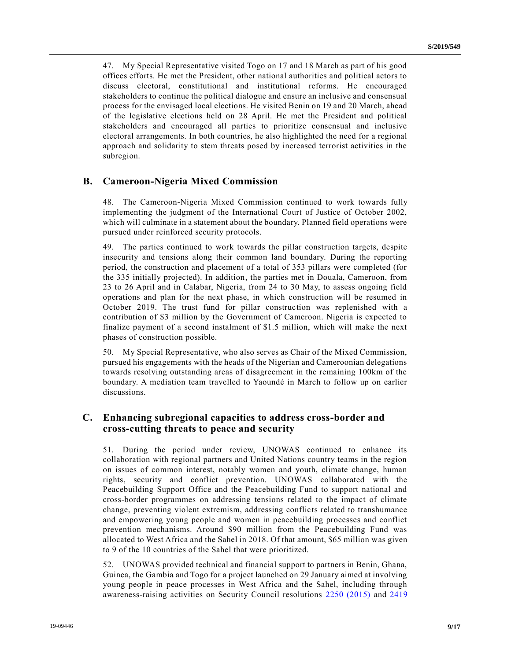47. My Special Representative visited Togo on 17 and 18 March as part of his good offices efforts. He met the President, other national authorities and political actors to discuss electoral, constitutional and institutional reforms. He encouraged stakeholders to continue the political dialogue and ensure an inclusive and consensual process for the envisaged local elections. He visited Benin on 19 and 20 March, ahead of the legislative elections held on 28 April. He met the President and political stakeholders and encouraged all parties to prioritize consensual and inclusive electoral arrangements. In both countries, he also highlighted the need for a regional approach and solidarity to stem threats posed by increased terrorist activities in the subregion.

### **B. Cameroon-Nigeria Mixed Commission**

48. The Cameroon-Nigeria Mixed Commission continued to work towards fully implementing the judgment of the International Court of Justice of October 2002, which will culminate in a statement about the boundary. Planned field operations were pursued under reinforced security protocols.

49. The parties continued to work towards the pillar construction targets, despite insecurity and tensions along their common land boundary. During the reporting period, the construction and placement of a total of 353 pillars were completed (for the 335 initially projected). In addition, the parties met in Douala, Cameroon, from 23 to 26 April and in Calabar, Nigeria, from 24 to 30 May, to assess ongoing field operations and plan for the next phase, in which construction will be resumed in October 2019. The trust fund for pillar construction was replenished with a contribution of \$3 million by the Government of Cameroon. Nigeria is expected to finalize payment of a second instalment of \$1.5 million, which will make the next phases of construction possible.

50. My Special Representative, who also serves as Chair of the Mixed Commission, pursued his engagements with the heads of the Nigerian and Cameroonian delegations towards resolving outstanding areas of disagreement in the remaining 100km of the boundary. A mediation team travelled to Yaoundé in March to follow up on earlier discussions.

## **C. Enhancing subregional capacities to address cross-border and cross-cutting threats to peace and security**

51. During the period under review, UNOWAS continued to enhance its collaboration with regional partners and United Nations country teams in the region on issues of common interest, notably women and youth, climate change, human rights, security and conflict prevention. UNOWAS collaborated with the Peacebuilding Support Office and the Peacebuilding Fund to support national and cross-border programmes on addressing tensions related to the impact of climate change, preventing violent extremism, addressing conflicts related to transhumance and empowering young people and women in peacebuilding processes and conflict prevention mechanisms. Around \$90 million from the Peacebuilding Fund was allocated to West Africa and the Sahel in 2018. Of that amount, \$65 million was given to 9 of the 10 countries of the Sahel that were prioritized.

52. UNOWAS provided technical and financial support to partners in Benin, Ghana, Guinea, the Gambia and Togo for a project launched on 29 January aimed at involving young people in peace processes in West Africa and the Sahel, including through awareness-raising activities on Security Council resolutions [2250 \(2015\)](https://undocs.org/en/S/RES/2250%20(2015)) and [2419](https://undocs.org/en/S/RES/2419%20(2018))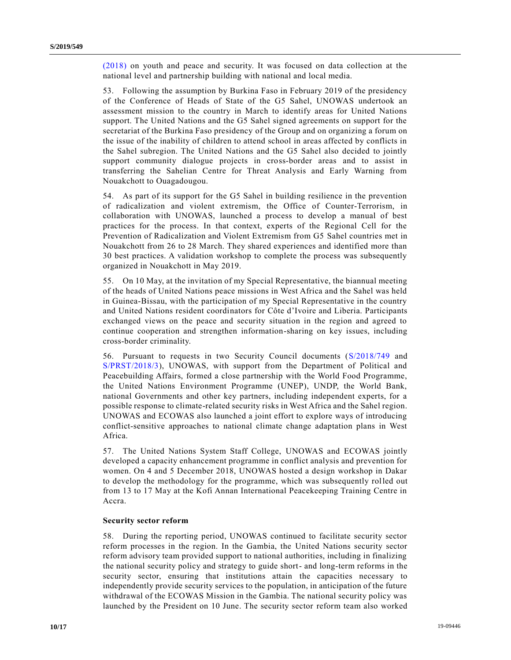[\(2018\)](https://undocs.org/en/S/RES/2419%20(2018)) on youth and peace and security. It was focused on data collection at the national level and partnership building with national and local media.

53. Following the assumption by Burkina Faso in February 2019 of the presidency of the Conference of Heads of State of the G5 Sahel, UNOWAS undertook an assessment mission to the country in March to identify areas for United Nations support. The United Nations and the G5 Sahel signed agreements on support for the secretariat of the Burkina Faso presidency of the Group and on organizing a forum on the issue of the inability of children to attend school in areas affected by conflicts in the Sahel subregion. The United Nations and the G5 Sahel also decided to jointly support community dialogue projects in cross-border areas and to assist in transferring the Sahelian Centre for Threat Analysis and Early Warning from Nouakchott to Ouagadougou.

54. As part of its support for the G5 Sahel in building resilience in the prevention of radicalization and violent extremism, the Office of Counter-Terrorism, in collaboration with UNOWAS, launched a process to develop a manual of best practices for the process. In that context, experts of the Regional Cell for the Prevention of Radicalization and Violent Extremism from G5 Sahel countries met in Nouakchott from 26 to 28 March. They shared experiences and identified more than 30 best practices. A validation workshop to complete the process was subsequently organized in Nouakchott in May 2019.

55. On 10 May, at the invitation of my Special Representative, the biannual meeting of the heads of United Nations peace missions in West Africa and the Sahel was held in Guinea-Bissau, with the participation of my Special Representative in the country and United Nations resident coordinators for Côte d'Ivoire and Liberia. Participants exchanged views on the peace and security situation in the region and agreed to continue cooperation and strengthen information-sharing on key issues, including cross-border criminality.

56. Pursuant to requests in two Security Council documents [\(S/2018/749](https://undocs.org/en/S/2018/749) and [S/PRST/2018/3\)](https://undocs.org/en/S/PRST/2018/3), UNOWAS, with support from the Department of Political and Peacebuilding Affairs, formed a close partnership with the World Food Programme, the United Nations Environment Programme (UNEP), UNDP, the World Bank, national Governments and other key partners, including independent experts, for a possible response to climate-related security risks in West Africa and the Sahel region. UNOWAS and ECOWAS also launched a joint effort to explore ways of introducing conflict-sensitive approaches to national climate change adaptation plans in West Africa.

57. The United Nations System Staff College, UNOWAS and ECOWAS jointly developed a capacity enhancement programme in conflict analysis and prevention for women. On 4 and 5 December 2018, UNOWAS hosted a design workshop in Dakar to develop the methodology for the programme, which was subsequently rolled out from 13 to 17 May at the Kofi Annan International Peacekeeping Training Centre in Accra.

#### **Security sector reform**

58. During the reporting period, UNOWAS continued to facilitate security sector reform processes in the region. In the Gambia, the United Nations security sector reform advisory team provided support to national authorities, including in finalizing the national security policy and strategy to guide short- and long-term reforms in the security sector, ensuring that institutions attain the capacities necessary to independently provide security services to the population, in anticipation of the future withdrawal of the ECOWAS Mission in the Gambia. The national security policy was launched by the President on 10 June. The security sector reform team also worked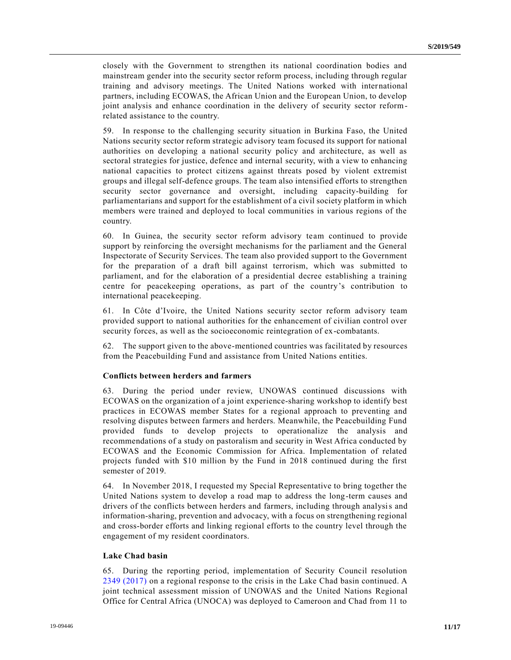closely with the Government to strengthen its national coordination bodies and mainstream gender into the security sector reform process, including through regular training and advisory meetings. The United Nations worked with international partners, including ECOWAS, the African Union and the European Union, to develop joint analysis and enhance coordination in the delivery of security sector reformrelated assistance to the country.

59. In response to the challenging security situation in Burkina Faso, the United Nations security sector reform strategic advisory team focused its support for national authorities on developing a national security policy and architecture, as well as sectoral strategies for justice, defence and internal security, with a view to enhancing national capacities to protect citizens against threats posed by violent extremist groups and illegal self-defence groups. The team also intensified efforts to strengthen security sector governance and oversight, including capacity-building for parliamentarians and support for the establishment of a civil society platform in which members were trained and deployed to local communities in various regions of the country.

60. In Guinea, the security sector reform advisory team continued to provide support by reinforcing the oversight mechanisms for the parliament and the General Inspectorate of Security Services. The team also provided support to the Government for the preparation of a draft bill against terrorism, which was submitted to parliament, and for the elaboration of a presidential decree establishing a training centre for peacekeeping operations, as part of the country's contribution to international peacekeeping.

61. In Côte d'Ivoire, the United Nations security sector reform advisory team provided support to national authorities for the enhancement of civilian control over security forces, as well as the socioeconomic reintegration of ex-combatants.

62. The support given to the above-mentioned countries was facilitated by resources from the Peacebuilding Fund and assistance from United Nations entities.

#### **Conflicts between herders and farmers**

63. During the period under review, UNOWAS continued discussions with ECOWAS on the organization of a joint experience-sharing workshop to identify best practices in ECOWAS member States for a regional approach to preventing and resolving disputes between farmers and herders. Meanwhile, the Peacebuilding Fund provided funds to develop projects to operationalize the analysis and recommendations of a study on pastoralism and security in West Africa conducted by ECOWAS and the Economic Commission for Africa. Implementation of related projects funded with \$10 million by the Fund in 2018 continued during the first semester of 2019.

64. In November 2018, I requested my Special Representative to bring together the United Nations system to develop a road map to address the long-term causes and drivers of the conflicts between herders and farmers, including through analysis and information-sharing, prevention and advocacy, with a focus on strengthening regional and cross-border efforts and linking regional efforts to the country level through the engagement of my resident coordinators.

#### **Lake Chad basin**

65. During the reporting period, implementation of Security Council resolution [2349 \(2017\)](https://undocs.org/en/S/RES/2349%20(2017)) on a regional response to the crisis in the Lake Chad basin continued. A joint technical assessment mission of UNOWAS and the United Nations Regional Office for Central Africa (UNOCA) was deployed to Cameroon and Chad from 11 to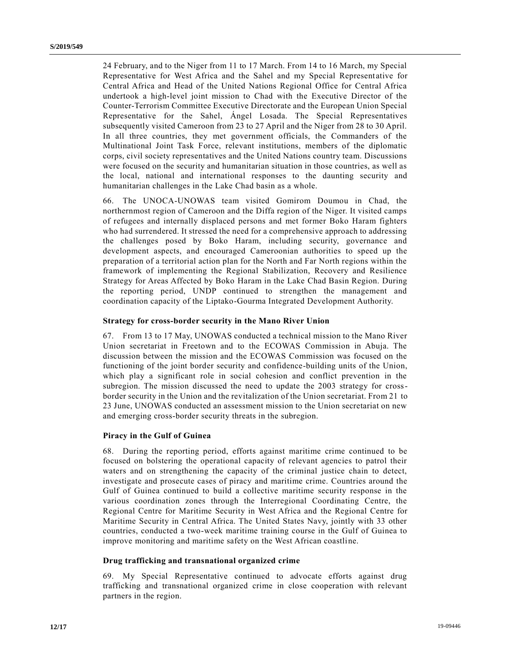24 February, and to the Niger from 11 to 17 March. From 14 to 16 March, my Special Representative for West Africa and the Sahel and my Special Representative for Central Africa and Head of the United Nations Regional Office for Central Africa undertook a high-level joint mission to Chad with the Executive Director of the Counter-Terrorism Committee Executive Directorate and the European Union Special Representative for the Sahel, Ángel Losada. The Special Representatives subsequently visited Cameroon from 23 to 27 April and the Niger from 28 to 30 April. In all three countries, they met government officials, the Commanders of the Multinational Joint Task Force, relevant institutions, members of the diplomatic corps, civil society representatives and the United Nations country team. Discussions were focused on the security and humanitarian situation in those countries, as well as the local, national and international responses to the daunting security and humanitarian challenges in the Lake Chad basin as a whole.

66. The UNOCA-UNOWAS team visited Gomirom Doumou in Chad, the northernmost region of Cameroon and the Diffa region of the Niger. It visited camps of refugees and internally displaced persons and met former Boko Haram fighters who had surrendered. It stressed the need for a comprehensive approach to addressing the challenges posed by Boko Haram, including security, governance and development aspects, and encouraged Cameroonian authorities to speed up the preparation of a territorial action plan for the North and Far North regions within the framework of implementing the Regional Stabilization, Recovery and Resilience Strategy for Areas Affected by Boko Haram in the Lake Chad Basin Region. During the reporting period, UNDP continued to strengthen the management and coordination capacity of the Liptako-Gourma Integrated Development Authority.

#### **Strategy for cross-border security in the Mano River Union**

67. From 13 to 17 May, UNOWAS conducted a technical mission to the Mano River Union secretariat in Freetown and to the ECOWAS Commission in Abuja. The discussion between the mission and the ECOWAS Commission was focused on the functioning of the joint border security and confidence-building units of the Union, which play a significant role in social cohesion and conflict prevention in the subregion. The mission discussed the need to update the 2003 strategy for crossborder security in the Union and the revitalization of the Union secretariat. From 21 to 23 June, UNOWAS conducted an assessment mission to the Union secretariat on new and emerging cross-border security threats in the subregion.

#### **Piracy in the Gulf of Guinea**

68. During the reporting period, efforts against maritime crime continued to be focused on bolstering the operational capacity of relevant agencies to patrol their waters and on strengthening the capacity of the criminal justice chain to detect, investigate and prosecute cases of piracy and maritime crime. Countries around the Gulf of Guinea continued to build a collective maritime security response in the various coordination zones through the Interregional Coordinating Centre, the Regional Centre for Maritime Security in West Africa and the Regional Centre for Maritime Security in Central Africa. The United States Navy, jointly with 33 other countries, conducted a two-week maritime training course in the Gulf of Guinea to improve monitoring and maritime safety on the West African coastline.

#### **Drug trafficking and transnational organized crime**

69. My Special Representative continued to advocate efforts against drug trafficking and transnational organized crime in close cooperation with relevant partners in the region.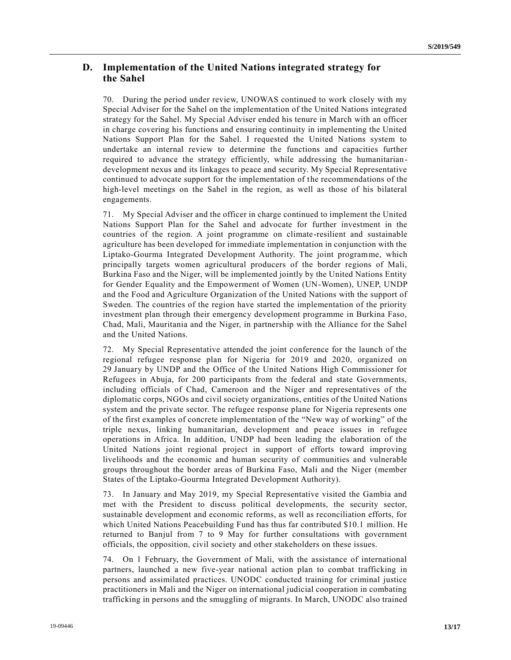## **D. Implementation of the United Nations integrated strategy for the Sahel**

70. During the period under review, UNOWAS continued to work closely with my Special Adviser for the Sahel on the implementation of the United Nations integrated strategy for the Sahel. My Special Adviser ended his tenure in March with an officer in charge covering his functions and ensuring continuity in implementing the United Nations Support Plan for the Sahel. I requested the United Nations system to undertake an internal review to determine the functions and capacities further required to advance the strategy efficiently, while addressing the humanitariandevelopment nexus and its linkages to peace and security. My Special Representative continued to advocate support for the implementation of the recommendations of the high-level meetings on the Sahel in the region, as well as those of his bilateral engagements.

71. My Special Adviser and the officer in charge continued to implement the United Nations Support Plan for the Sahel and advocate for further investment in the countries of the region. A joint programme on climate-resilient and sustainable agriculture has been developed for immediate implementation in conjunction with the Liptako-Gourma Integrated Development Authority. The joint programme, which principally targets women agricultural producers of the border regions of Mali, Burkina Faso and the Niger, will be implemented jointly by the United Nations Entity for Gender Equality and the Empowerment of Women (UN-Women), UNEP, UNDP and the Food and Agriculture Organization of the United Nations with the support of Sweden. The countries of the region have started the implementation of the priority investment plan through their emergency development programme in Burkina Faso, Chad, Mali, Mauritania and the Niger, in partnership with the Alliance for the Sahel and the United Nations.

72. My Special Representative attended the joint conference for the launch of the regional refugee response plan for Nigeria for 2019 and 2020, organized on 29 January by UNDP and the Office of the United Nations High Commissioner for Refugees in Abuja, for 200 participants from the federal and state Governments, including officials of Chad, Cameroon and the Niger and representatives of the diplomatic corps, NGOs and civil society organizations, entities of the United Nations system and the private sector. The refugee response plane for Nigeria represents one of the first examples of concrete implementation of the "New way of working" of the triple nexus, linking humanitarian, development and peace issues in refugee operations in Africa. In addition, UNDP had been leading the elaboration of the United Nations joint regional project in support of efforts toward improving livelihoods and the economic and human security of communities and vulnerable groups throughout the border areas of Burkina Faso, Mali and the Niger (member States of the Liptako-Gourma Integrated Development Authority).

73. In January and May 2019, my Special Representative visited the Gambia and met with the President to discuss political developments, the security sector, sustainable development and economic reforms, as well as reconciliation efforts, for which United Nations Peacebuilding Fund has thus far contributed \$10.1 million. He returned to Banjul from 7 to 9 May for further consultations with government officials, the opposition, civil society and other stakeholders on these issues.

74. On 1 February, the Government of Mali, with the assistance of international partners, launched a new five-year national action plan to combat trafficking in persons and assimilated practices. UNODC conducted training for criminal justice practitioners in Mali and the Niger on international judicial cooperation in combating trafficking in persons and the smuggling of migrants. In March, UNODC also trained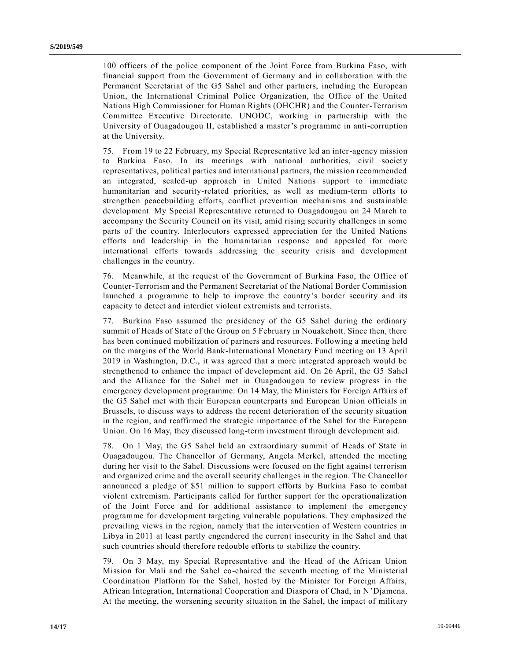100 officers of the police component of the Joint Force from Burkina Faso, with financial support from the Government of Germany and in collaboration with the Permanent Secretariat of the G5 Sahel and other partners, including the European Union, the International Criminal Police Organization, the Office of the United Nations High Commissioner for Human Rights (OHCHR) and the Counter-Terrorism Committee Executive Directorate. UNODC, working in partnership with the University of Ouagadougou II, established a master's programme in anti-corruption at the University.

75. From 19 to 22 February, my Special Representative led an inter-agency mission to Burkina Faso. In its meetings with national authorities, civil society representatives, political parties and international partners, the mission recommended an integrated, scaled-up approach in United Nations support to immediate humanitarian and security-related priorities, as well as medium-term efforts to strengthen peacebuilding efforts, conflict prevention mechanisms and sustainable development. My Special Representative returned to Ouagadougou on 24 March to accompany the Security Council on its visit, amid rising security challenges in some parts of the country. Interlocutors expressed appreciation for the United Nations efforts and leadership in the humanitarian response and appealed for more international efforts towards addressing the security crisis and development challenges in the country.

76. Meanwhile, at the request of the Government of Burkina Faso, the Office of Counter-Terrorism and the Permanent Secretariat of the National Border Commission launched a programme to help to improve the country's border security and its capacity to detect and interdict violent extremists and terrorists.

77. Burkina Faso assumed the presidency of the G5 Sahel during the ordinary summit of Heads of State of the Group on 5 February in Nouakchott. Since then, there has been continued mobilization of partners and resources. Following a meeting held on the margins of the World Bank-International Monetary Fund meeting on 13 April 2019 in Washington, D.C., it was agreed that a more integrated approach would be strengthened to enhance the impact of development aid. On 26 April, the G5 Sahel and the Alliance for the Sahel met in Ouagadougou to review progress in the emergency development programme. On 14 May, the Ministers for Foreign Affairs of the G5 Sahel met with their European counterparts and European Union officials in Brussels, to discuss ways to address the recent deterioration of the security situation in the region, and reaffirmed the strategic importance of the Sahel for the European Union. On 16 May, they discussed long-term investment through development aid.

78. On 1 May, the G5 Sahel held an extraordinary summit of Heads of State in Ouagadougou. The Chancellor of Germany, Angela Merkel, attended the meeting during her visit to the Sahel. Discussions were focused on the fight against terrorism and organized crime and the overall security challenges in the region. The Chancellor announced a pledge of \$51 million to support efforts by Burkina Faso to combat violent extremism. Participants called for further support for the operationalization of the Joint Force and for additional assistance to implement the emergency programme for development targeting vulnerable populations. They emphasized the prevailing views in the region, namely that the intervention of Western countries in Libya in 2011 at least partly engendered the current insecurity in the Sahel and that such countries should therefore redouble efforts to stabilize the country.

79. On 3 May, my Special Representative and the Head of the African Union Mission for Mali and the Sahel co-chaired the seventh meeting of the Ministerial Coordination Platform for the Sahel, hosted by the Minister for Foreign Affairs, African Integration, International Cooperation and Diaspora of Chad, in N'Djamena. At the meeting, the worsening security situation in the Sahel, the impact of military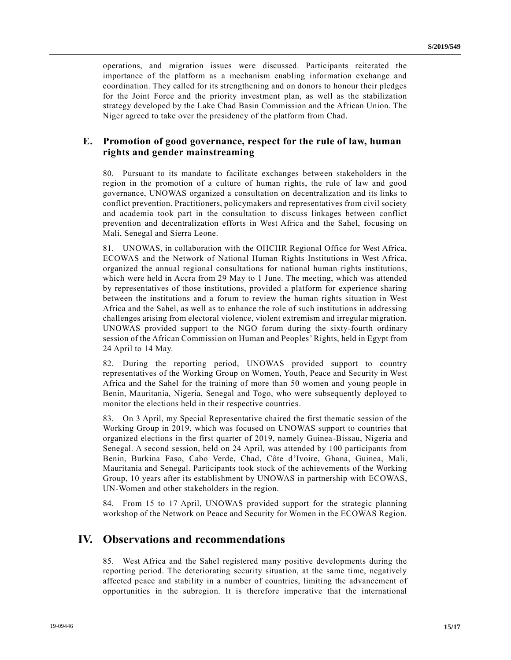operations, and migration issues were discussed. Participants reiterated the importance of the platform as a mechanism enabling information exchange and coordination. They called for its strengthening and on donors to honour their pledges for the Joint Force and the priority investment plan, as well as the stabilization strategy developed by the Lake Chad Basin Commission and the African Union. The Niger agreed to take over the presidency of the platform from Chad.

## **E. Promotion of good governance, respect for the rule of law, human rights and gender mainstreaming**

80. Pursuant to its mandate to facilitate exchanges between stakeholders in the region in the promotion of a culture of human rights, the rule of law and good governance, UNOWAS organized a consultation on decentralization and its links to conflict prevention. Practitioners, policymakers and representatives from civil society and academia took part in the consultation to discuss linkages between conflict prevention and decentralization efforts in West Africa and the Sahel, focusing on Mali, Senegal and Sierra Leone.

81. UNOWAS, in collaboration with the OHCHR Regional Office for West Africa, ECOWAS and the Network of National Human Rights Institutions in West Africa, organized the annual regional consultations for national human rights institutions, which were held in Accra from 29 May to 1 June. The meeting, which was attended by representatives of those institutions, provided a platform for experience sharing between the institutions and a forum to review the human rights situation in West Africa and the Sahel, as well as to enhance the role of such institutions in addressing challenges arising from electoral violence, violent extremism and irregular migration. UNOWAS provided support to the NGO forum during the sixty-fourth ordinary session of the African Commission on Human and Peoples' Rights, held in Egypt from 24 April to 14 May.

82. During the reporting period, UNOWAS provided support to country representatives of the Working Group on Women, Youth, Peace and Security in West Africa and the Sahel for the training of more than 50 women and young people in Benin, Mauritania, Nigeria, Senegal and Togo, who were subsequently deployed to monitor the elections held in their respective countries.

83. On 3 April, my Special Representative chaired the first thematic session of the Working Group in 2019, which was focused on UNOWAS support to countries that organized elections in the first quarter of 2019, namely Guinea -Bissau, Nigeria and Senegal. A second session, held on 24 April, was attended by 100 participants from Benin, Burkina Faso, Cabo Verde, Chad, Côte d'Ivoire, Ghana, Guinea, Mali, Mauritania and Senegal. Participants took stock of the achievements of the Working Group, 10 years after its establishment by UNOWAS in partnership with ECOWAS, UN-Women and other stakeholders in the region.

84. From 15 to 17 April, UNOWAS provided support for the strategic planning workshop of the Network on Peace and Security for Women in the ECOWAS Region.

## **IV. Observations and recommendations**

85. West Africa and the Sahel registered many positive developments during the reporting period. The deteriorating security situation, at the same time, negatively affected peace and stability in a number of countries, limiting the advancement of opportunities in the subregion. It is therefore imperative that the international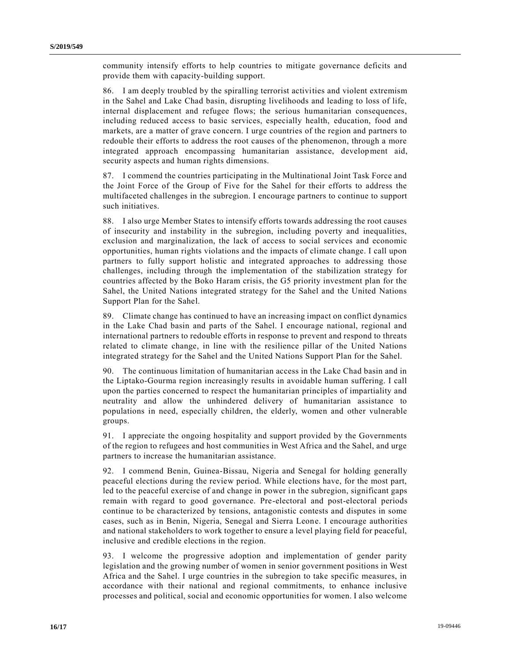community intensify efforts to help countries to mitigate governance deficits and provide them with capacity-building support.

86. I am deeply troubled by the spiralling terrorist activities and violent extremism in the Sahel and Lake Chad basin, disrupting livelihoods and leading to loss of life, internal displacement and refugee flows; the serious humanitarian consequences, including reduced access to basic services, especially health, education, food and markets, are a matter of grave concern. I urge countries of the region and partners to redouble their efforts to address the root causes of the phenomenon, through a more integrated approach encompassing humanitarian assistance, development aid, security aspects and human rights dimensions.

87. I commend the countries participating in the Multinational Joint Task Force and the Joint Force of the Group of Five for the Sahel for their efforts to address the multifaceted challenges in the subregion. I encourage partners to continue to support such initiatives.

88. I also urge Member States to intensify efforts towards addressing the root causes of insecurity and instability in the subregion, including poverty and inequalities, exclusion and marginalization, the lack of access to social services and economic opportunities, human rights violations and the impacts of climate change. I call upon partners to fully support holistic and integrated approaches to addressing those challenges, including through the implementation of the stabilization strategy for countries affected by the Boko Haram crisis, the G5 priority investment plan for the Sahel, the United Nations integrated strategy for the Sahel and the United Nations Support Plan for the Sahel.

89. Climate change has continued to have an increasing impact on conflict dynamics in the Lake Chad basin and parts of the Sahel. I encourage national, regional and international partners to redouble efforts in response to prevent and respond to threats related to climate change, in line with the resilience pillar of the United Nations integrated strategy for the Sahel and the United Nations Support Plan for the Sahel.

90. The continuous limitation of humanitarian access in the Lake Chad basin and in the Liptako-Gourma region increasingly results in avoidable human suffering. I call upon the parties concerned to respect the humanitarian principles of impartiality and neutrality and allow the unhindered delivery of humanitarian assistance to populations in need, especially children, the elderly, women and other vulnerable groups.

91. I appreciate the ongoing hospitality and support provided by the Governments of the region to refugees and host communities in West Africa and the Sahel, and urge partners to increase the humanitarian assistance.

92. I commend Benin, Guinea-Bissau, Nigeria and Senegal for holding generally peaceful elections during the review period. While elections have, for the most part, led to the peaceful exercise of and change in power in the subregion, significant gaps remain with regard to good governance. Pre-electoral and post-electoral periods continue to be characterized by tensions, antagonistic contests and disputes in some cases, such as in Benin, Nigeria, Senegal and Sierra Leone. I encourage authorities and national stakeholders to work together to ensure a level playing field for peaceful, inclusive and credible elections in the region.

93. I welcome the progressive adoption and implementation of gender parity legislation and the growing number of women in senior government positions in West Africa and the Sahel. I urge countries in the subregion to take specific measures, in accordance with their national and regional commitments, to enhance inclusive processes and political, social and economic opportunities for women. I also welcome